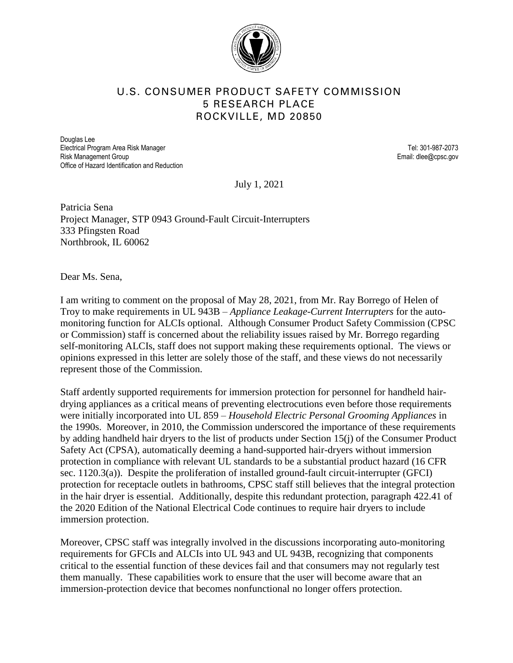

## U.S. CONSUMER PRODUCT SAFETY COMMISSION 5 RESEARCH PLACE ROCKVILLE, MD 20850

Douglas Lee Electrical Program Area Risk Manager Tel: 301-987-2073 Risk Management Group **Email:** dlee@cpsc.gov Office of Hazard Identification and Reduction

July 1, 2021

Patricia Sena Project Manager, STP 0943 Ground-Fault Circuit-Interrupters 333 Pfingsten Road Northbrook, IL 60062

Dear Ms. Sena,

I am writing to comment on the proposal of May 28, 2021, from Mr. Ray Borrego of Helen of Troy to make requirements in UL 943B – *Appliance Leakage-Current Interrupters* for the automonitoring function for ALCIs optional. Although Consumer Product Safety Commission (CPSC or Commission) staff is concerned about the reliability issues raised by Mr. Borrego regarding self-monitoring ALCIs, staff does not support making these requirements optional. The views or opinions expressed in this letter are solely those of the staff, and these views do not necessarily represent those of the Commission.

Staff ardently supported requirements for immersion protection for personnel for handheld hairdrying appliances as a critical means of preventing electrocutions even before those requirements were initially incorporated into UL 859 – *Household Electric Personal Grooming Appliances* in the 1990s. Moreover, in 2010, the Commission underscored the importance of these requirements by adding handheld hair dryers to the list of products under Section 15(j) of the Consumer Product Safety Act (CPSA), automatically deeming a hand-supported hair-dryers without immersion protection in compliance with relevant UL standards to be a substantial product hazard (16 CFR sec. 1120.3(a)). Despite the proliferation of installed ground-fault circuit-interrupter (GFCI) protection for receptacle outlets in bathrooms, CPSC staff still believes that the integral protection in the hair dryer is essential. Additionally, despite this redundant protection, paragraph 422.41 of the 2020 Edition of the National Electrical Code continues to require hair dryers to include immersion protection.

Moreover, CPSC staff was integrally involved in the discussions incorporating auto-monitoring requirements for GFCIs and ALCIs into UL 943 and UL 943B, recognizing that components critical to the essential function of these devices fail and that consumers may not regularly test them manually. These capabilities work to ensure that the user will become aware that an immersion-protection device that becomes nonfunctional no longer offers protection.